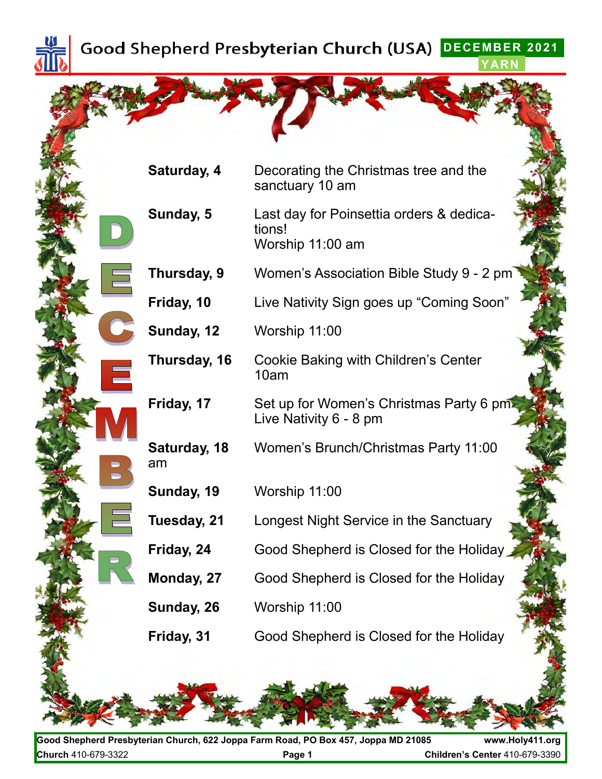

**DECEMBER 2021 YARN**

|             | Saturday, 4        | Decorating the Christmas tree and the<br>sanctuary 10 am               |
|-------------|--------------------|------------------------------------------------------------------------|
|             | Sunday, 5          | Last day for Poinsettia orders & dedica-<br>tions!<br>Worship 11:00 am |
| $\equiv$    | Thursday, 9        | Women's Association Bible Study 9 - 2 pm                               |
|             | Friday, 10         | Live Nativity Sign goes up "Coming Soon"                               |
|             | Sunday, 12         | Worship 11:00                                                          |
| $\bigoplus$ | Thursday, 16       | Cookie Baking with Children's Center<br>10am                           |
|             | Friday, 17         | Set up for Women's Christmas Party 6 pm<br>Live Nativity 6 - 8 pm      |
|             | Saturday, 18<br>am | Women's Brunch/Christmas Party 11:00                                   |
|             | Sunday, 19         | Worship 11:00                                                          |
|             | Tuesday, 21        | Longest Night Service in the Sanctuary                                 |
|             | Friday, 24         | Good Shepherd is Closed for the Holiday                                |
|             | Monday, 27         | Good Shepherd is Closed for the Holiday                                |
|             | Sunday, 26         | Worship 11:00                                                          |
|             | Friday, 31         | Good Shepherd is Closed for the Holiday                                |
|             |                    |                                                                        |

**Good Shepherd Presbyterian Church, 622 Joppa Farm Road, PO Box 457, Joppa MD 21085 www.Holy411.org Church** 410-679-3322 **Page 1 Children's Center** 410-679-3390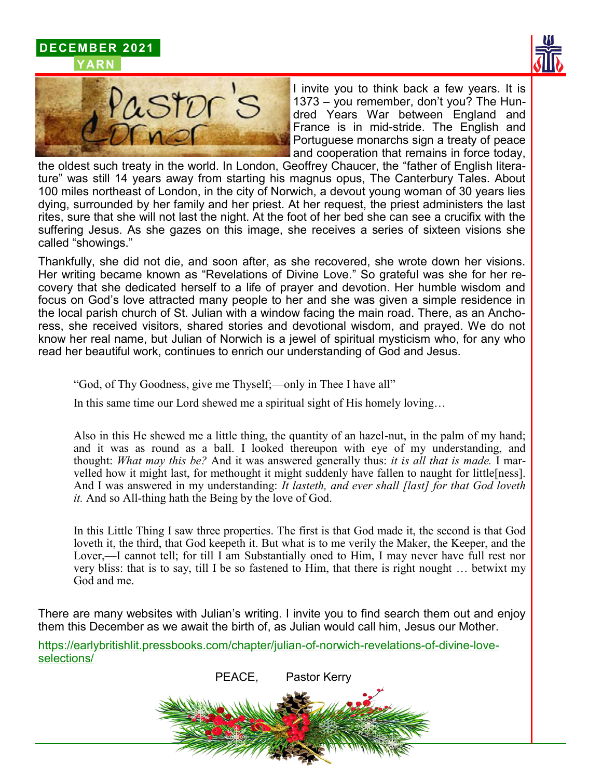





I invite you to think back a few years. It is 1373 – you remember, don't you? The Hundred Years War between England and France is in mid-stride. The English and Portuguese monarchs sign a treaty of peace and cooperation that remains in force today,

the oldest such treaty in the world. In London, Geoffrey Chaucer, the "father of English literature" was still 14 years away from starting his magnus opus, The Canterbury Tales. About 100 miles northeast of London, in the city of Norwich, a devout young woman of 30 years lies dying, surrounded by her family and her priest. At her request, the priest administers the last rites, sure that she will not last the night. At the foot of her bed she can see a crucifix with the suffering Jesus. As she gazes on this image, she receives a series of sixteen visions she called "showings."

Thankfully, she did not die, and soon after, as she recovered, she wrote down her visions. Her writing became known as "Revelations of Divine Love." So grateful was she for her recovery that she dedicated herself to a life of prayer and devotion. Her humble wisdom and focus on God's love attracted many people to her and she was given a simple residence in the local parish church of St. Julian with a window facing the main road. There, as an Anchoress, she received visitors, shared stories and devotional wisdom, and prayed. We do not know her real name, but Julian of Norwich is a jewel of spiritual mysticism who, for any who read her beautiful work, continues to enrich our understanding of God and Jesus.

"God, of Thy Goodness, give me Thyself;—only in Thee I have all"

In this same time our Lord shewed me a spiritual sight of His homely loving…

Also in this He shewed me a little thing, the quantity of an hazel-nut, in the palm of my hand; and it was as round as a ball. I looked thereupon with eye of my understanding, and thought: *What may this be?* And it was answered generally thus: *it is all that is made.* I marvelled how it might last, for methought it might suddenly have fallen to naught for little[ness]. And I was answered in my understanding: *It lasteth, and ever shall [last] for that God loveth it.* And so All-thing hath the Being by the love of God.

In this Little Thing I saw three properties. The first is that God made it, the second is that God loveth it, the third, that God keepeth it. But what is to me verily the Maker, the Keeper, and the Lover,—I cannot tell; for till I am Substantially oned to Him, I may never have full rest nor very bliss: that is to say, till I be so fastened to Him, that there is right nought … betwixt my God and me.

There are many websites with Julian's writing. I invite you to find search them out and enjoy them this December as we await the birth of, as Julian would call him, Jesus our Mother.

https://earlybritishlit.pressbooks.com/chapter/julian-of-norwich-revelations-of-divine-loveselections/

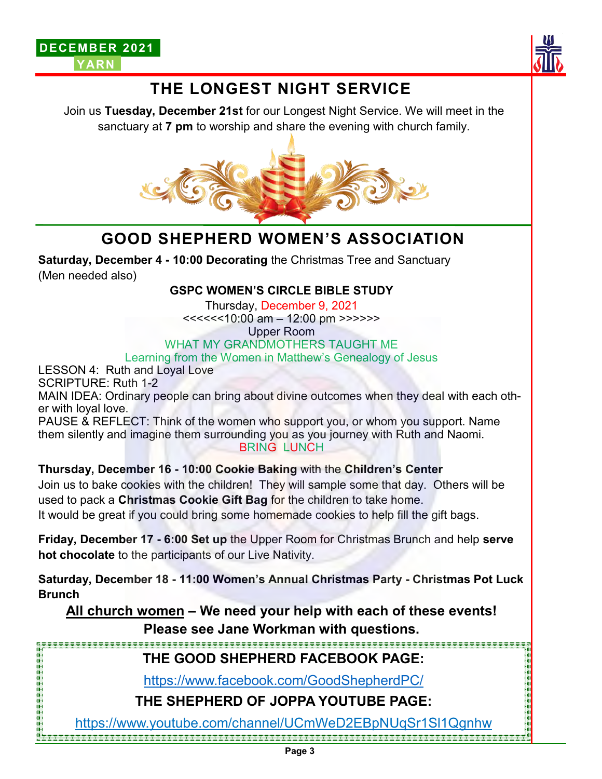



# **THE LONGEST NIGHT SERVICE**

Join us **Tuesday, December 21st** for our Longest Night Service. We will meet in the sanctuary at **7 pm** to worship and share the evening with church family.



# **GOOD SHEPHERD WOMEN'S ASSOCIATION**

**Saturday, December 4 - 10:00 Decorating** the Christmas Tree and Sanctuary (Men needed also)

#### **GSPC WOMEN'S CIRCLE BIBLE STUDY**

Thursday, December 9, 2021

<<<<<<10:00 am – 12:00 pm >>>>>>

Upper Room

#### WHAT MY GRANDMOTHERS TAUGHT ME

Learning from the Women in Matthew's Genealogy of Jesus

LESSON 4: Ruth and Loyal Love

SCRIPTURE: Ruth 1-2

MAIN IDEA: Ordinary people can bring about divine outcomes when they deal with each other with loyal love.

PAUSE & REFLECT: Think of the women who support you, or whom you support. Name them silently and imagine them surrounding you as you journey with Ruth and Naomi. BRING LUNCH

#### **Thursday, December 16 - 10:00 Cookie Baking** with the **Children's Center**

Join us to bake cookies with the children! They will sample some that day. Others will be used to pack a **Christmas Cookie Gift Bag** for the children to take home.

It would be great if you could bring some homemade cookies to help fill the gift bags.

**Friday, December 17 - 6:00 Set up** the Upper Room for Christmas Brunch and help **serve hot chocolate** to the participants of our Live Nativity.

**Saturday, December 18 - 11:00 Women's Annual Christmas Party - Christmas Pot Luck Brunch**

**All church women – We need your help with each of these events! Please see Jane Workman with questions.**

## **THE GOOD SHEPHERD FACEBOOK PAGE:**

https://www.facebook.com/GoodShepherdPC/

**THE SHEPHERD OF JOPPA YOUTUBE PAGE:**

https://www.youtube.com/channel/UCmWeD2EBpNUqSr1Sl1Qgnhw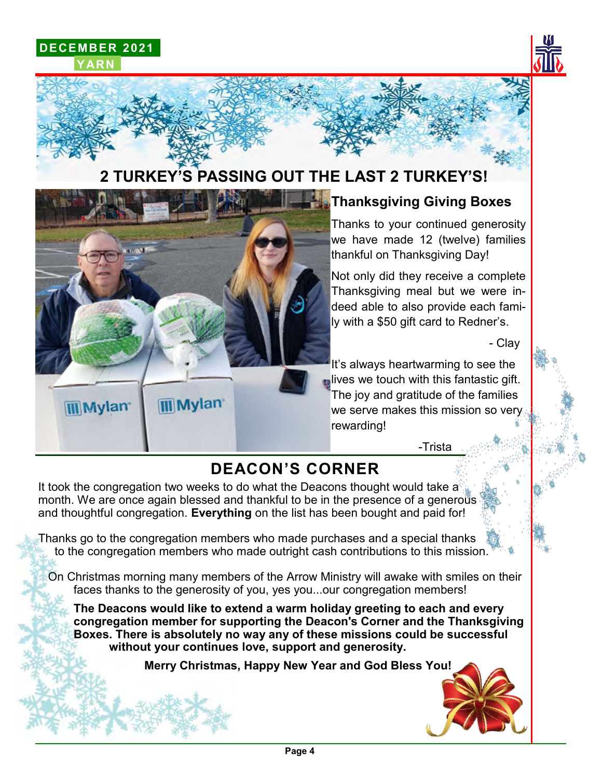**DECEMBER 2021 YARN**



# **2 TURKEY'S PASSING OUT THE LAST 2 TURKEY'S!**



### **Thanksgiving Giving Boxes**

Thanks to your continued generosity we have made 12 (twelve) families thankful on Thanksgiving Day!

Not only did they receive a complete Thanksgiving meal but we were indeed able to also provide each family with a \$50 gift card to Redner's.

- Clay

It's always heartwarming to see the **lives we touch with this fantastic gift.** The joy and gratitude of the families we serve makes this mission so very rewarding!

-Trista

## **DEACON'S CORNER**

It took the congregation two weeks to do what the Deacons thought would take a month. We are once again blessed and thankful to be in the presence of a generous and thoughtful congregation. **Everything** on the list has been bought and paid for!

Thanks go to the congregation members who made purchases and a special thanks to the congregation members who made outright cash contributions to this mission.

 On Christmas morning many members of the Arrow Ministry will awake with smiles on their faces thanks to the generosity of you, yes you...our congregation members!

**The Deacons would like to extend a warm holiday greeting to each and every congregation member for supporting the Deacon's Corner and the Thanksgiving Boxes. There is absolutely no way any of these missions could be successful without your continues love, support and generosity.** 

**Merry Christmas, Happy New Year and God Bless You!**

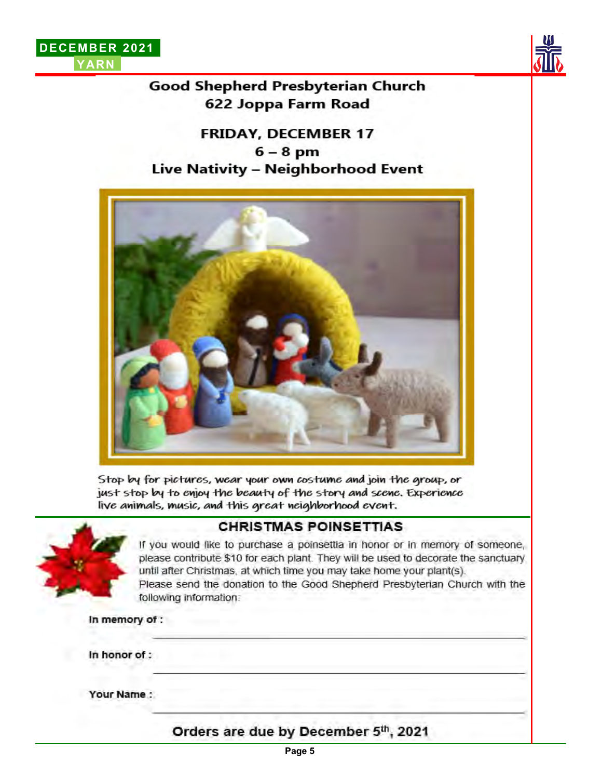



### Good Shepherd Presbyterian Church 622 Joppa Farm Road

### **FRIDAY, DECEMBER 17**  $6 - 8$  pm Live Nativity - Neighborhood Event



Stop by for pictures, wear your own costume and join the group, or just stop by to enjoy the beauty of the story and scene. Experience live animals, music, and this great neighborhood event.



### **CHRISTMAS POINSETTIAS**

If you would like to purchase a poinsettia in honor or in memory of someone, please contribute \$10 for each plant. They will be used to decorate the sanctuary until after Christmas, at which time you may take home your plant(s). Please send the donation to the Good Shepherd Presbyterian Church with the following information:

In memory of :

In honor of :

Your Name:

Orders are due by December 5th, 2021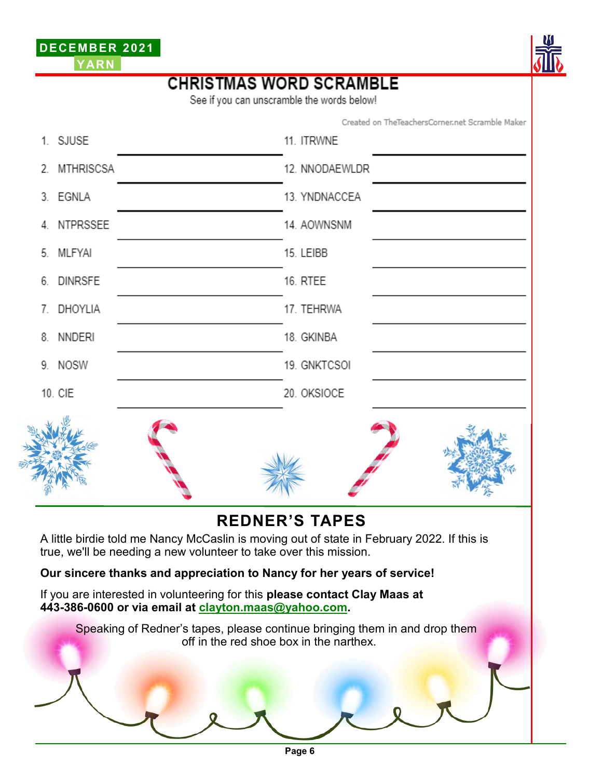



# **CHRISTMAS WORD SCRAMBLE**

See if you can unscramble the words below!

Created on TheTeachersCorner.net Scramble Maker

|                                                                                                                                                                                          | 1. SJUSE   | 11. ITRWNE                                                                                                            |  |  |
|------------------------------------------------------------------------------------------------------------------------------------------------------------------------------------------|------------|-----------------------------------------------------------------------------------------------------------------------|--|--|
| 2.                                                                                                                                                                                       | MTHRISCSA  | 12. NNODAEWLDR                                                                                                        |  |  |
|                                                                                                                                                                                          | 3. EGNLA   | 13. YNDNACCEA                                                                                                         |  |  |
| 4                                                                                                                                                                                        | NTPRSSEE   | 14. AOWNSNM                                                                                                           |  |  |
| 5.                                                                                                                                                                                       | MLFYAI     | 15. LEIBB                                                                                                             |  |  |
| 6.                                                                                                                                                                                       | DINRSFE    | 16. RTEE                                                                                                              |  |  |
|                                                                                                                                                                                          | 7. DHOYLIA | 17. TEHRWA                                                                                                            |  |  |
| 8.                                                                                                                                                                                       | NNDERI     | 18. GKINBA                                                                                                            |  |  |
|                                                                                                                                                                                          | 9. NOSW    | 19. GNKTCSOI                                                                                                          |  |  |
|                                                                                                                                                                                          | 10. CIE    | 20. OKSIOCE                                                                                                           |  |  |
|                                                                                                                                                                                          |            |                                                                                                                       |  |  |
| <b>REDNER'S TAPES</b><br>A little birdie told me Nancy McCaslin is moving out of state in February 2022. If this is<br>true, we'll be needing a new volunteer to take over this mission. |            |                                                                                                                       |  |  |
| Our sincere thanks and appreciation to Nancy for her years of service!                                                                                                                   |            |                                                                                                                       |  |  |
| If you are interested in volunteering for this please contact Clay Maas at<br>443-386-0600 or via email at clayton.maas@yahoo.com.                                                       |            |                                                                                                                       |  |  |
|                                                                                                                                                                                          |            | Speaking of Redner's tapes, please continue bringing them in and drop them<br>off in the red shoe box in the narthex. |  |  |